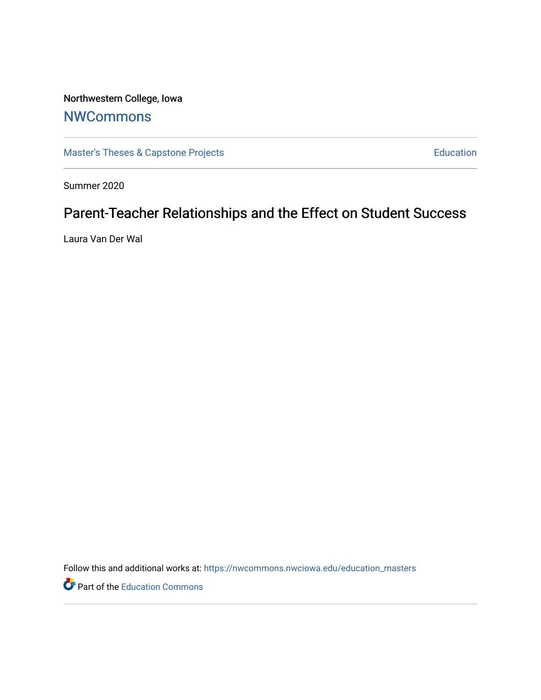Northwestern College, Iowa

## **[NWCommons](https://nwcommons.nwciowa.edu/)**

[Master's Theses & Capstone Projects](https://nwcommons.nwciowa.edu/education_masters) **Education** Education

Summer 2020

# Parent-Teacher Relationships and the Effect on Student Success

Laura Van Der Wal

Follow this and additional works at: [https://nwcommons.nwciowa.edu/education\\_masters](https://nwcommons.nwciowa.edu/education_masters?utm_source=nwcommons.nwciowa.edu%2Feducation_masters%2F247&utm_medium=PDF&utm_campaign=PDFCoverPages)

Part of the [Education Commons](http://network.bepress.com/hgg/discipline/784?utm_source=nwcommons.nwciowa.edu%2Feducation_masters%2F247&utm_medium=PDF&utm_campaign=PDFCoverPages)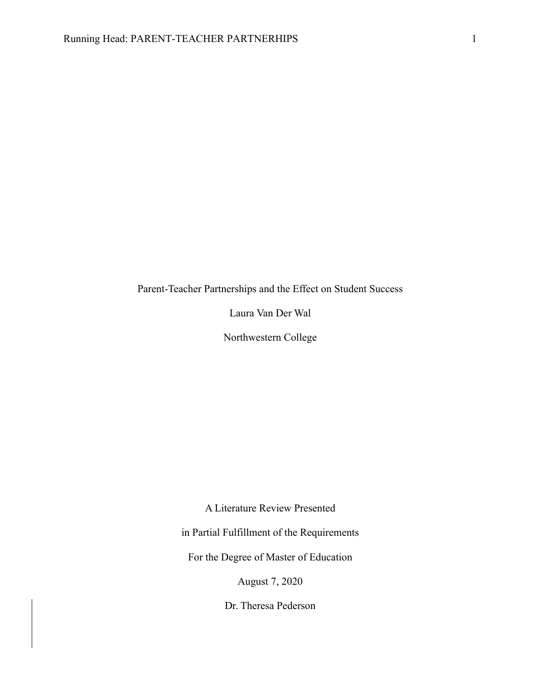Parent-Teacher Partnerships and the Effect on Student Success

Laura Van Der Wal

Northwestern College

A Literature Review Presented

in Partial Fulfillment of the Requirements

For the Degree of Master of Education

August 7, 2020

Dr. Theresa Pederson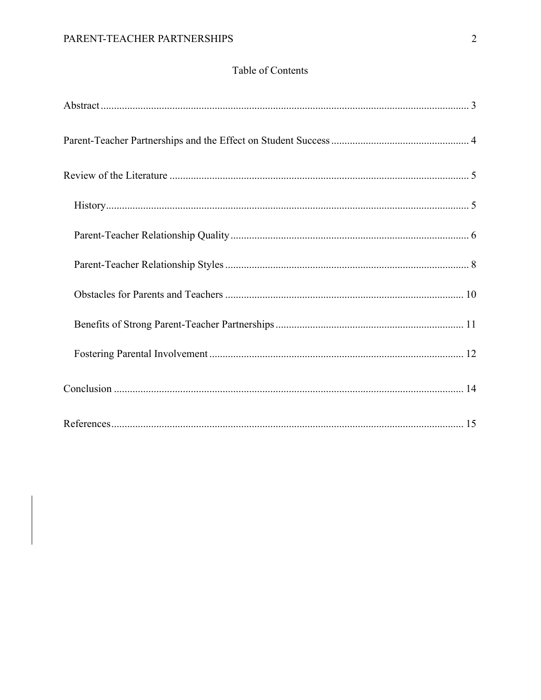### Table of Contents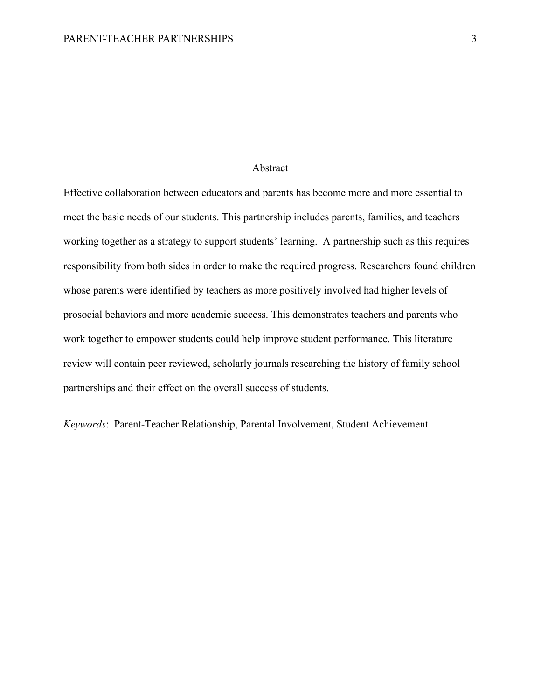#### Abstract

Effective collaboration between educators and parents has become more and more essential to meet the basic needs of our students. This partnership includes parents, families, and teachers working together as a strategy to support students' learning. A partnership such as this requires responsibility from both sides in order to make the required progress. Researchers found children whose parents were identified by teachers as more positively involved had higher levels of prosocial behaviors and more academic success. This demonstrates teachers and parents who work together to empower students could help improve student performance. This literature review will contain peer reviewed, scholarly journals researching the history of family school partnerships and their effect on the overall success of students.

*Keywords*: Parent-Teacher Relationship, Parental Involvement, Student Achievement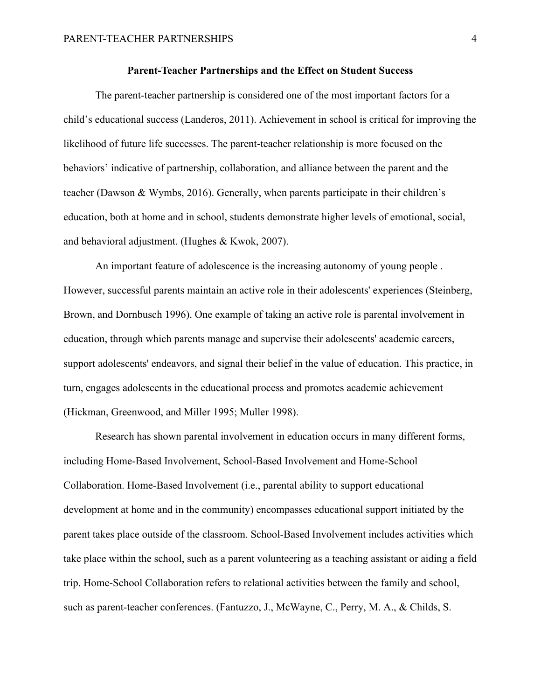#### **Parent-Teacher Partnerships and the Effect on Student Success**

The parent-teacher partnership is considered one of the most important factors for a child's educational success (Landeros, 2011). Achievement in school is critical for improving the likelihood of future life successes. The parent-teacher relationship is more focused on the behaviors' indicative of partnership, collaboration, and alliance between the parent and the teacher (Dawson & Wymbs, 2016). Generally, when parents participate in their children's education, both at home and in school, students demonstrate higher levels of emotional, social, and behavioral adjustment. (Hughes & Kwok, 2007).

An important feature of adolescence is the increasing autonomy of young people . However, successful parents maintain an active role in their adolescents' experiences (Steinberg, Brown, and Dornbusch 1996). One example of taking an active role is parental involvement in education, through which parents manage and supervise their adolescents' academic careers, support adolescents' endeavors, and signal their belief in the value of education. This practice, in turn, engages adolescents in the educational process and promotes academic achievement (Hickman, Greenwood, and Miller 1995; Muller 1998).

Research has shown parental involvement in education occurs in many different forms, including Home-Based Involvement, School-Based Involvement and Home-School Collaboration. Home-Based Involvement (i.e., parental ability to support educational development at home and in the community) encompasses educational support initiated by the parent takes place outside of the classroom. School-Based Involvement includes activities which take place within the school, such as a parent volunteering as a teaching assistant or aiding a field trip. Home-School Collaboration refers to relational activities between the family and school, such as parent-teacher conferences. (Fantuzzo, J., McWayne, C., Perry, M. A., & Childs, S.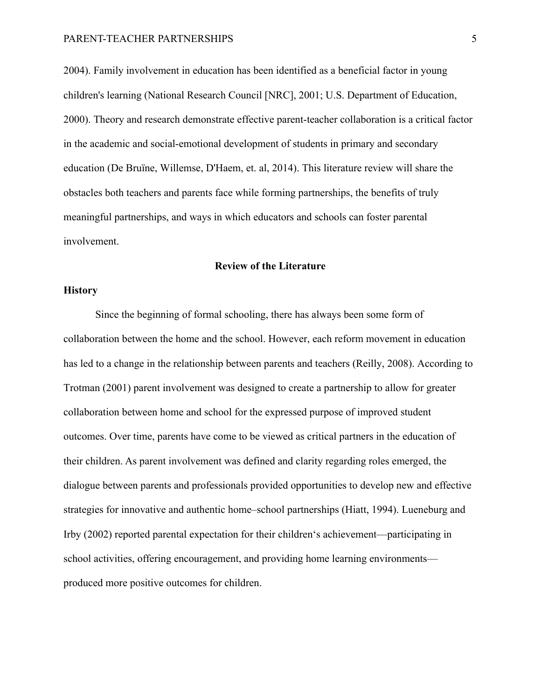2004). Family involvement in education has been identified as a beneficial factor in young children's learning (National Research Council [NRC], 2001; U.S. Department of Education, 2000). Theory and research demonstrate effective parent-teacher collaboration is a critical factor in the academic and social-emotional development of students in primary and secondary education (De Bruïne, Willemse, D'Haem, et. al, 2014). This literature review will share the obstacles both teachers and parents face while forming partnerships, the benefits of truly meaningful partnerships, and ways in which educators and schools can foster parental involvement.

#### **Review of the Literature**

#### **History**

Since the beginning of formal schooling, there has always been some form of collaboration between the home and the school. However, each reform movement in education has led to a change in the relationship between parents and teachers (Reilly, 2008). According to Trotman (2001) parent involvement was designed to create a partnership to allow for greater collaboration between home and school for the expressed purpose of improved student outcomes. Over time, parents have come to be viewed as critical partners in the education of their children. As parent involvement was defined and clarity regarding roles emerged, the dialogue between parents and professionals provided opportunities to develop new and effective strategies for innovative and authentic home–school partnerships (Hiatt, 1994). Lueneburg and Irby (2002) reported parental expectation for their children's achievement—participating in school activities, offering encouragement, and providing home learning environments produced more positive outcomes for children.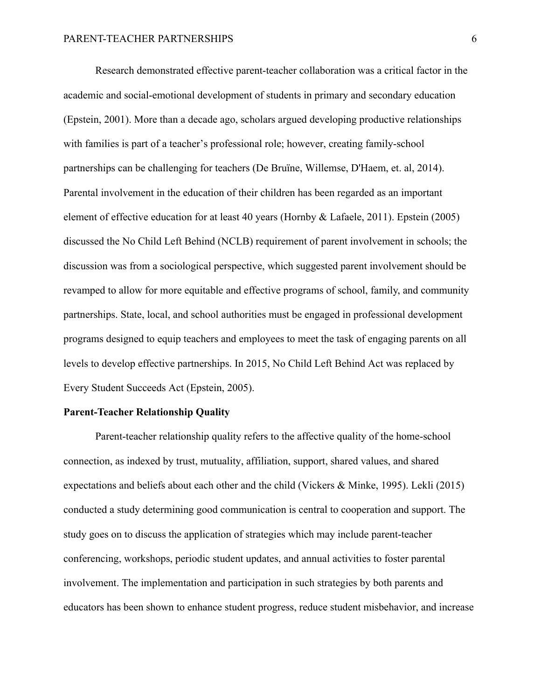Research demonstrated effective parent-teacher collaboration was a critical factor in the academic and social-emotional development of students in primary and secondary education (Epstein, 2001). More than a decade ago, scholars argued developing productive relationships with families is part of a teacher's professional role; however, creating family-school partnerships can be challenging for teachers (De Bruïne, Willemse, D'Haem, et. al, 2014). Parental involvement in the education of their children has been regarded as an important element of effective education for at least 40 years (Hornby & Lafaele, 2011). Epstein (2005) discussed the No Child Left Behind (NCLB) requirement of parent involvement in schools; the discussion was from a sociological perspective, which suggested parent involvement should be revamped to allow for more equitable and effective programs of school, family, and community partnerships. State, local, and school authorities must be engaged in professional development programs designed to equip teachers and employees to meet the task of engaging parents on all levels to develop effective partnerships. In 2015, No Child Left Behind Act was replaced by Every Student Succeeds Act (Epstein, 2005).

#### **Parent-Teacher Relationship Quality**

Parent-teacher relationship quality refers to the affective quality of the home-school connection, as indexed by trust, mutuality, affiliation, support, shared values, and shared expectations and beliefs about each other and the child (Vickers & Minke, 1995). Lekli (2015) conducted a study determining good communication is central to cooperation and support. The study goes on to discuss the application of strategies which may include parent-teacher conferencing, workshops, periodic student updates, and annual activities to foster parental involvement. The implementation and participation in such strategies by both parents and educators has been shown to enhance student progress, reduce student misbehavior, and increase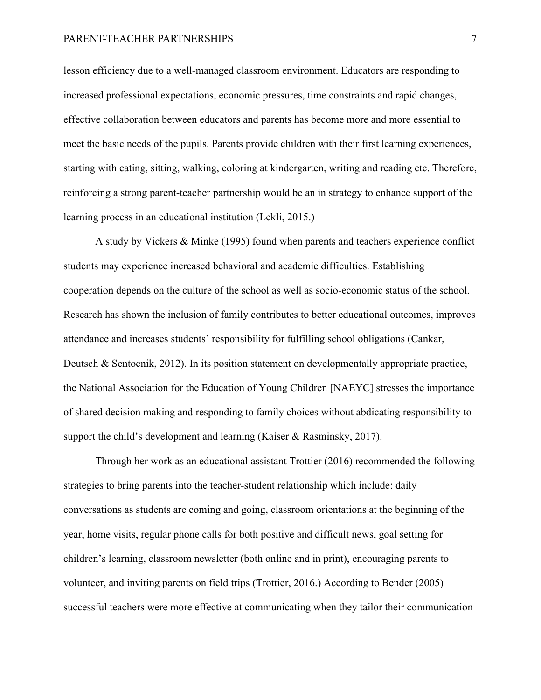lesson efficiency due to a well-managed classroom environment. Educators are responding to increased professional expectations, economic pressures, time constraints and rapid changes, effective collaboration between educators and parents has become more and more essential to meet the basic needs of the pupils. Parents provide children with their first learning experiences, starting with eating, sitting, walking, coloring at kindergarten, writing and reading etc. Therefore, reinforcing a strong parent-teacher partnership would be an in strategy to enhance support of the learning process in an educational institution (Lekli, 2015.)

A study by Vickers & Minke (1995) found when parents and teachers experience conflict students may experience increased behavioral and academic difficulties. Establishing cooperation depends on the culture of the school as well as socio-economic status of the school. Research has shown the inclusion of family contributes to better educational outcomes, improves attendance and increases students' responsibility for fulfilling school obligations (Cankar, Deutsch & Sentocnik, 2012). In its position statement on developmentally appropriate practice, the National Association for the Education of Young Children [NAEYC] stresses the importance of shared decision making and responding to family choices without abdicating responsibility to support the child's development and learning (Kaiser & Rasminsky, 2017).

Through her work as an educational assistant Trottier (2016) recommended the following strategies to bring parents into the teacher-student relationship which include: daily conversations as students are coming and going, classroom orientations at the beginning of the year, home visits, regular phone calls for both positive and difficult news, goal setting for children's learning, classroom newsletter (both online and in print), encouraging parents to volunteer, and inviting parents on field trips (Trottier, 2016.) According to Bender (2005) successful teachers were more effective at communicating when they tailor their communication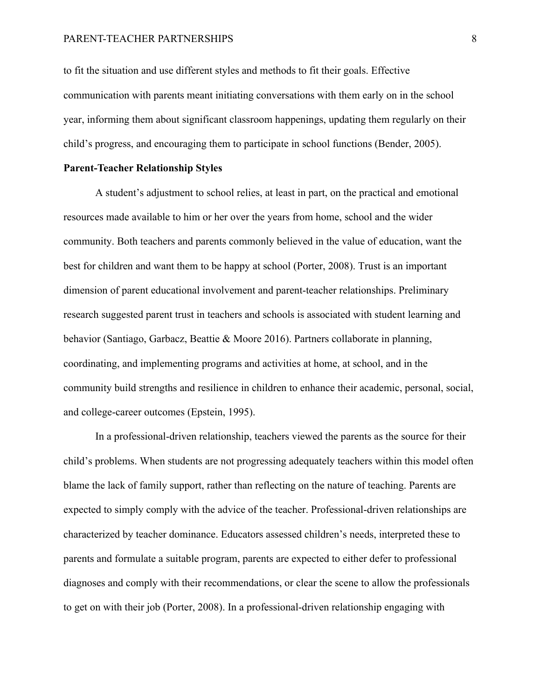to fit the situation and use different styles and methods to fit their goals. Effective communication with parents meant initiating conversations with them early on in the school year, informing them about significant classroom happenings, updating them regularly on their child's progress, and encouraging them to participate in school functions (Bender, 2005).

#### **Parent-Teacher Relationship Styles**

A student's adjustment to school relies, at least in part, on the practical and emotional resources made available to him or her over the years from home, school and the wider community. Both teachers and parents commonly believed in the value of education, want the best for children and want them to be happy at school (Porter, 2008). Trust is an important dimension of parent educational involvement and parent‐teacher relationships. Preliminary research suggested parent trust in teachers and schools is associated with student learning and behavior (Santiago, Garbacz, Beattie & Moore 2016). Partners collaborate in planning, coordinating, and implementing programs and activities at home, at school, and in the community build strengths and resilience in children to enhance their academic, personal, social, and college-career outcomes (Epstein, 1995).

In a professional-driven relationship, teachers viewed the parents as the source for their child's problems. When students are not progressing adequately teachers within this model often blame the lack of family support, rather than reflecting on the nature of teaching. Parents are expected to simply comply with the advice of the teacher. Professional-driven relationships are characterized by teacher dominance. Educators assessed children's needs, interpreted these to parents and formulate a suitable program, parents are expected to either defer to professional diagnoses and comply with their recommendations, or clear the scene to allow the professionals to get on with their job (Porter, 2008). In a professional-driven relationship engaging with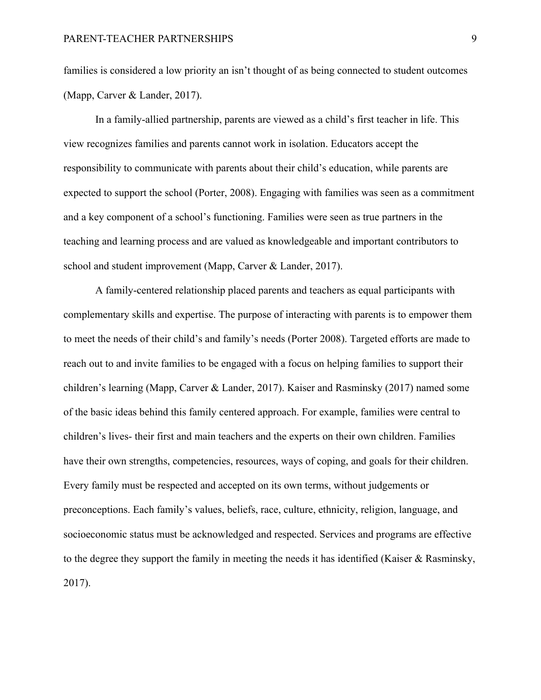families is considered a low priority an isn't thought of as being connected to student outcomes (Mapp, Carver & Lander, 2017).

In a family-allied partnership, parents are viewed as a child's first teacher in life. This view recognizes families and parents cannot work in isolation. Educators accept the responsibility to communicate with parents about their child's education, while parents are expected to support the school (Porter, 2008). Engaging with families was seen as a commitment and a key component of a school's functioning. Families were seen as true partners in the teaching and learning process and are valued as knowledgeable and important contributors to school and student improvement (Mapp, Carver & Lander, 2017).

A family-centered relationship placed parents and teachers as equal participants with complementary skills and expertise. The purpose of interacting with parents is to empower them to meet the needs of their child's and family's needs (Porter 2008). Targeted efforts are made to reach out to and invite families to be engaged with a focus on helping families to support their children's learning (Mapp, Carver & Lander, 2017). Kaiser and Rasminsky (2017) named some of the basic ideas behind this family centered approach. For example, families were central to children's lives- their first and main teachers and the experts on their own children. Families have their own strengths, competencies, resources, ways of coping, and goals for their children. Every family must be respected and accepted on its own terms, without judgements or preconceptions. Each family's values, beliefs, race, culture, ethnicity, religion, language, and socioeconomic status must be acknowledged and respected. Services and programs are effective to the degree they support the family in meeting the needs it has identified (Kaiser & Rasminsky, 2017).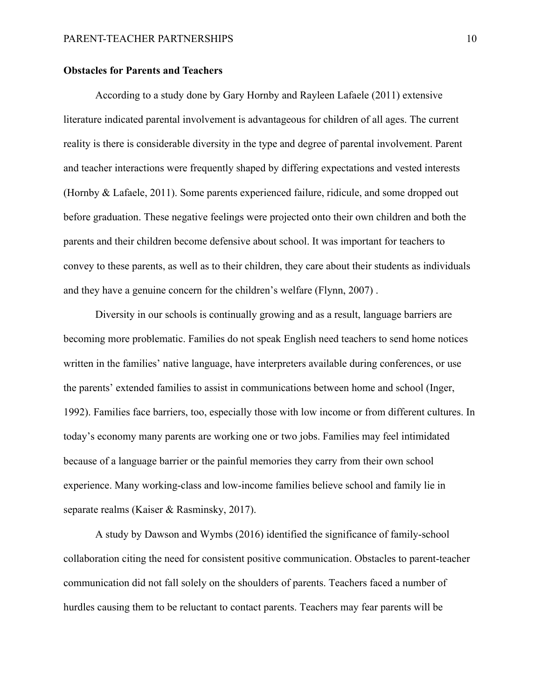#### **Obstacles for Parents and Teachers**

According to a study done by Gary Hornby and Rayleen Lafaele (2011) extensive literature indicated parental involvement is advantageous for children of all ages. The current reality is there is considerable diversity in the type and degree of parental involvement. Parent and teacher interactions were frequently shaped by differing expectations and vested interests (Hornby & Lafaele, 2011). Some parents experienced failure, ridicule, and some dropped out before graduation. These negative feelings were projected onto their own children and both the parents and their children become defensive about school. It was important for teachers to convey to these parents, as well as to their children, they care about their students as individuals and they have a genuine concern for the children's welfare (Flynn, 2007) .

Diversity in our schools is continually growing and as a result, language barriers are becoming more problematic. Families do not speak English need teachers to send home notices written in the families' native language, have interpreters available during conferences, or use the parents' extended families to assist in communications between home and school (Inger, 1992). Families face barriers, too, especially those with low income or from different cultures. In today's economy many parents are working one or two jobs. Families may feel intimidated because of a language barrier or the painful memories they carry from their own school experience. Many working-class and low-income families believe school and family lie in separate realms (Kaiser & Rasminsky, 2017).

A study by Dawson and Wymbs (2016) identified the significance of family-school collaboration citing the need for consistent positive communication. Obstacles to parent-teacher communication did not fall solely on the shoulders of parents. Teachers faced a number of hurdles causing them to be reluctant to contact parents. Teachers may fear parents will be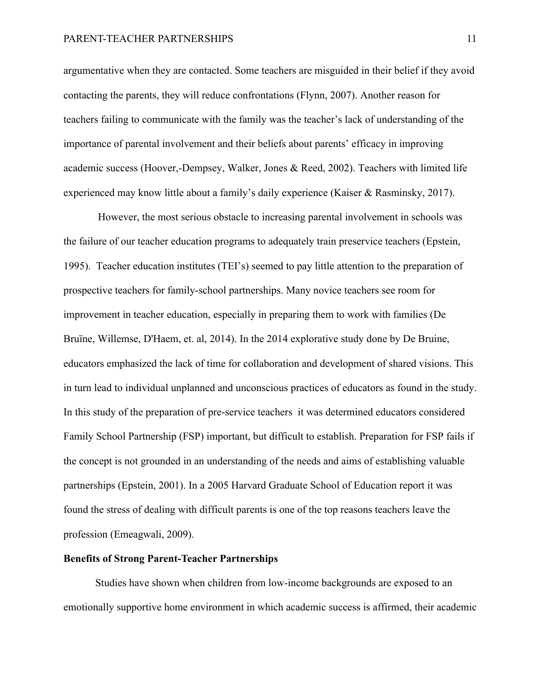argumentative when they are contacted. Some teachers are misguided in their belief if they avoid contacting the parents, they will reduce confrontations (Flynn, 2007). Another reason for teachers failing to communicate with the family was the teacher's lack of understanding of the importance of parental involvement and their beliefs about parents' efficacy in improving academic success (Hoover,-Dempsey, Walker, Jones & Reed, 2002). Teachers with limited life experienced may know little about a family's daily experience (Kaiser & Rasminsky, 2017).

However, the most serious obstacle to increasing parental involvement in schools was the failure of our teacher education programs to adequately train preservice teachers (Epstein, 1995). Teacher education institutes (TEI's) seemed to pay little attention to the preparation of prospective teachers for family-school partnerships. Many novice teachers see room for improvement in teacher education, especially in preparing them to work with families (De Bruïne, Willemse, D'Haem, et. al, 2014). In the 2014 explorative study done by De Bruine, educators emphasized the lack of time for collaboration and development of shared visions. This in turn lead to individual unplanned and unconscious practices of educators as found in the study. In this study of the preparation of pre-service teachers it was determined educators considered Family School Partnership (FSP) important, but difficult to establish. Preparation for FSP fails if the concept is not grounded in an understanding of the needs and aims of establishing valuable partnerships (Epstein, 2001). In a 2005 Harvard Graduate School of Education report it was found the stress of dealing with difficult parents is one of the top reasons teachers leave the profession (Emeagwali, 2009).

#### **Benefits of Strong Parent-Teacher Partnerships**

Studies have shown when children from low-income backgrounds are exposed to an emotionally supportive home environment in which academic success is affirmed, their academic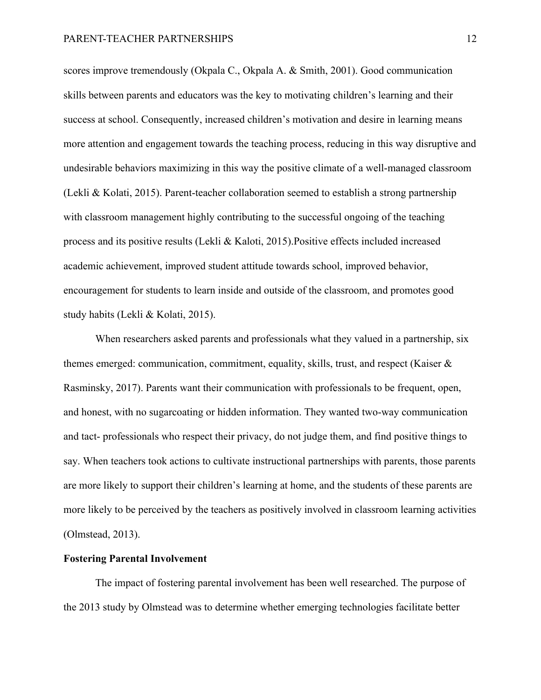scores improve tremendously (Okpala C., Okpala A. & Smith, 2001). Good communication skills between parents and educators was the key to motivating children's learning and their success at school. Consequently, increased children's motivation and desire in learning means more attention and engagement towards the teaching process, reducing in this way disruptive and undesirable behaviors maximizing in this way the positive climate of a well-managed classroom (Lekli & Kolati, 2015). Parent-teacher collaboration seemed to establish a strong partnership with classroom management highly contributing to the successful ongoing of the teaching process and its positive results (Lekli & Kaloti, 2015).Positive effects included increased academic achievement, improved student attitude towards school, improved behavior, encouragement for students to learn inside and outside of the classroom, and promotes good study habits (Lekli & Kolati, 2015).

When researchers asked parents and professionals what they valued in a partnership, six themes emerged: communication, commitment, equality, skills, trust, and respect (Kaiser & Rasminsky, 2017). Parents want their communication with professionals to be frequent, open, and honest, with no sugarcoating or hidden information. They wanted two-way communication and tact- professionals who respect their privacy, do not judge them, and find positive things to say. When teachers took actions to cultivate instructional partnerships with parents, those parents are more likely to support their children's learning at home, and the students of these parents are more likely to be perceived by the teachers as positively involved in classroom learning activities (Olmstead, 2013).

#### **Fostering Parental Involvement**

The impact of fostering parental involvement has been well researched. The purpose of the 2013 study by Olmstead was to determine whether emerging technologies facilitate better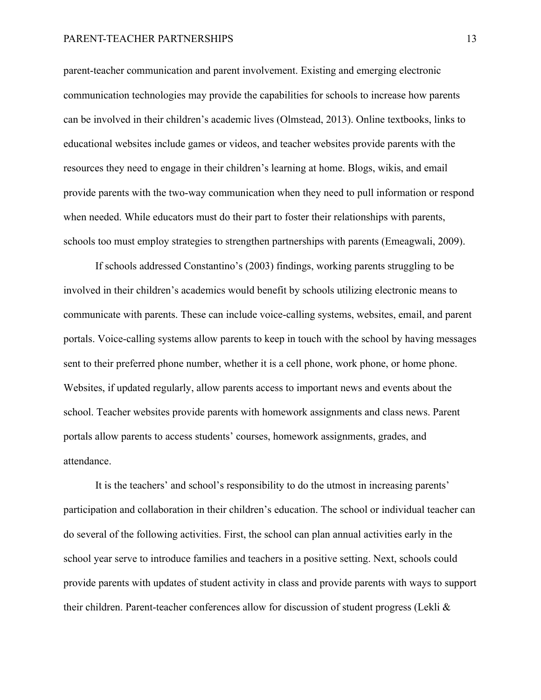parent-teacher communication and parent involvement. Existing and emerging electronic communication technologies may provide the capabilities for schools to increase how parents can be involved in their children's academic lives (Olmstead, 2013). Online textbooks, links to educational websites include games or videos, and teacher websites provide parents with the resources they need to engage in their children's learning at home. Blogs, wikis, and email provide parents with the two-way communication when they need to pull information or respond when needed. While educators must do their part to foster their relationships with parents, schools too must employ strategies to strengthen partnerships with parents (Emeagwali, 2009).

If schools addressed Constantino's (2003) findings, working parents struggling to be involved in their children's academics would benefit by schools utilizing electronic means to communicate with parents. These can include voice-calling systems, websites, email, and parent portals. Voice-calling systems allow parents to keep in touch with the school by having messages sent to their preferred phone number, whether it is a cell phone, work phone, or home phone. Websites, if updated regularly, allow parents access to important news and events about the school. Teacher websites provide parents with homework assignments and class news. Parent portals allow parents to access students' courses, homework assignments, grades, and attendance.

It is the teachers' and school's responsibility to do the utmost in increasing parents' participation and collaboration in their children's education. The school or individual teacher can do several of the following activities. First, the school can plan annual activities early in the school year serve to introduce families and teachers in a positive setting. Next, schools could provide parents with updates of student activity in class and provide parents with ways to support their children. Parent-teacher conferences allow for discussion of student progress (Lekli &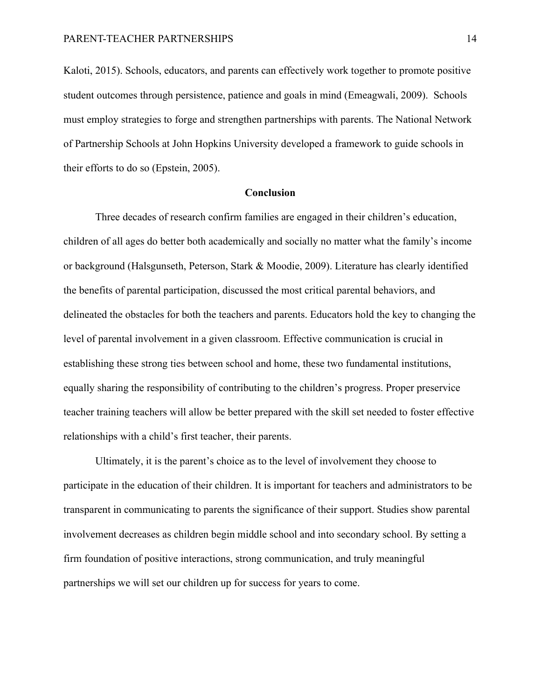Kaloti, 2015). Schools, educators, and parents can effectively work together to promote positive student outcomes through persistence, patience and goals in mind (Emeagwali, 2009). Schools must employ strategies to forge and strengthen partnerships with parents. The National Network of Partnership Schools at John Hopkins University developed a framework to guide schools in their efforts to do so (Epstein, 2005).

#### **Conclusion**

Three decades of research confirm families are engaged in their children's education, children of all ages do better both academically and socially no matter what the family's income or background (Halsgunseth, Peterson, Stark & Moodie, 2009). Literature has clearly identified the benefits of parental participation, discussed the most critical parental behaviors, and delineated the obstacles for both the teachers and parents. Educators hold the key to changing the level of parental involvement in a given classroom. Effective communication is crucial in establishing these strong ties between school and home, these two fundamental institutions, equally sharing the responsibility of contributing to the children's progress. Proper preservice teacher training teachers will allow be better prepared with the skill set needed to foster effective relationships with a child's first teacher, their parents.

Ultimately, it is the parent's choice as to the level of involvement they choose to participate in the education of their children. It is important for teachers and administrators to be transparent in communicating to parents the significance of their support. Studies show parental involvement decreases as children begin middle school and into secondary school. By setting a firm foundation of positive interactions, strong communication, and truly meaningful partnerships we will set our children up for success for years to come.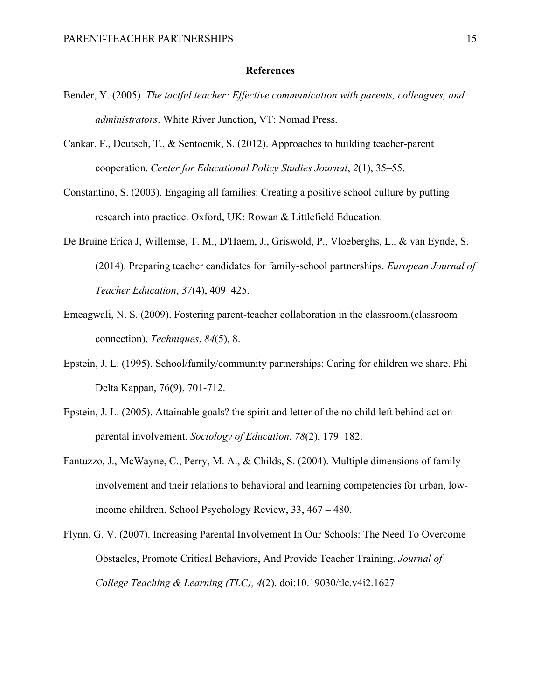#### **References**

- Bender, Y. (2005). *The tactful teacher: Effective communication with parents, colleagues, and administrators*. White River Junction, VT: Nomad Press.
- Cankar, F., Deutsch, T., & Sentocnik, S. (2012). Approaches to building teacher-parent cooperation. *Center for Educational Policy Studies Journal*, *2*(1), 35–55.
- Constantino, S. (2003). Engaging all families: Creating a positive school culture by putting research into practice. Oxford, UK: Rowan & Littlefield Education.
- De Bruïne Erica J, Willemse, T. M., D'Haem, J., Griswold, P., Vloeberghs, L., & van Eynde, S. (2014). Preparing teacher candidates for family-school partnerships. *European Journal of Teacher Education*, *37*(4), 409–425.
- Emeagwali, N. S. (2009). Fostering parent-teacher collaboration in the classroom.(classroom connection). *Techniques*, *84*(5), 8.
- Epstein, J. L. (1995). School/family/community partnerships: Caring for children we share. Phi Delta Kappan, 76(9), 701-712.
- Epstein, J. L. (2005). Attainable goals? the spirit and letter of the no child left behind act on parental involvement. *Sociology of Education*, *78*(2), 179–182.
- Fantuzzo, J., McWayne, C., Perry, M. A., & Childs, S. (2004). Multiple dimensions of family involvement and their relations to behavioral and learning competencies for urban, lowincome children. School Psychology Review, 33, 467 – 480.
- Flynn, G. V. (2007). Increasing Parental Involvement In Our Schools: The Need To Overcome Obstacles, Promote Critical Behaviors, And Provide Teacher Training. *Journal of College Teaching & Learning (TLC), 4*(2). doi:10.19030/tlc.v4i2.1627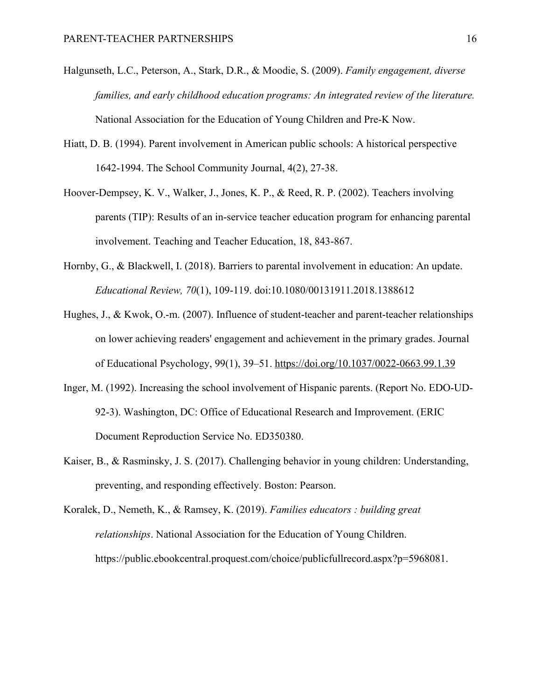- Halgunseth, L.C., Peterson, A., Stark, D.R., & Moodie, S. (2009). *Family engagement, diverse families, and early childhood education programs: An integrated review of the literature.* National Association for the Education of Young Children and Pre-K Now.
- Hiatt, D. B. (1994). Parent involvement in American public schools: A historical perspective 1642-1994. The School Community Journal, 4(2), 27-38.
- Hoover-Dempsey, K. V., Walker, J., Jones, K. P., & Reed, R. P. (2002). Teachers involving parents (TIP): Results of an in-service teacher education program for enhancing parental involvement. Teaching and Teacher Education, 18, 843-867.
- Hornby, G., & Blackwell, I. (2018). Barriers to parental involvement in education: An update. *Educational Review, 70*(1), 109-119. doi:10.1080/00131911.2018.1388612
- Hughes, J., & Kwok, O.-m. (2007). Influence of student-teacher and parent-teacher relationships on lower achieving readers' engagement and achievement in the primary grades. Journal of Educational Psychology, 99(1), 39–51. https://doi.org/10.1037/0022-0663.99.1.39
- Inger, M. (1992). Increasing the school involvement of Hispanic parents. (Report No. EDO-UD-92-3). Washington, DC: Office of Educational Research and Improvement. (ERIC Document Reproduction Service No. ED350380.
- Kaiser, B., & Rasminsky, J. S. (2017). Challenging behavior in young children: Understanding, preventing, and responding effectively. Boston: Pearson.
- Koralek, D., Nemeth, K., & Ramsey, K. (2019). *Families educators : building great relationships*. National Association for the Education of Young Children. https://public.ebookcentral.proquest.com/choice/publicfullrecord.aspx?p=5968081.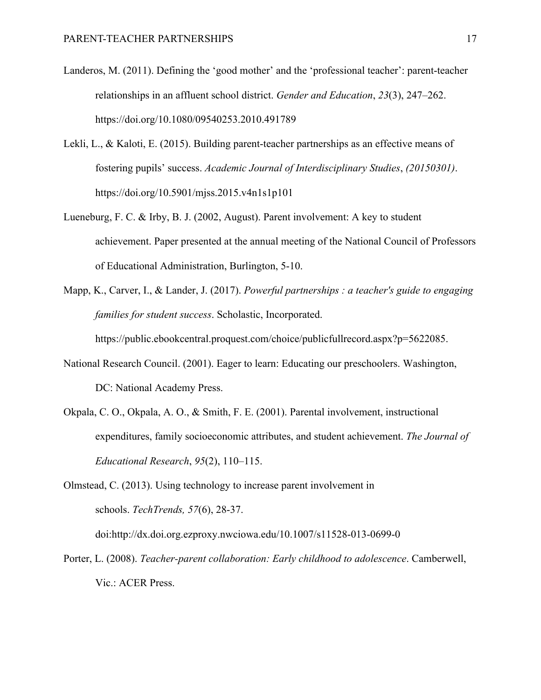- Landeros, M. (2011). Defining the 'good mother' and the 'professional teacher': parent-teacher relationships in an affluent school district. *Gender and Education*, *23*(3), 247–262. https://doi.org/10.1080/09540253.2010.491789
- Lekli, L., & Kaloti, E. (2015). Building parent-teacher partnerships as an effective means of fostering pupils' success. *Academic Journal of Interdisciplinary Studies*, *(20150301)*. https://doi.org/10.5901/mjss.2015.v4n1s1p101
- Lueneburg, F. C. & Irby, B. J. (2002, August). Parent involvement: A key to student achievement. Paper presented at the annual meeting of the National Council of Professors of Educational Administration, Burlington, 5-10.
- Mapp, K., Carver, I., & Lander, J. (2017). *Powerful partnerships : a teacher's guide to engaging families for student success*. Scholastic, Incorporated.

https://public.ebookcentral.proquest.com/choice/publicfullrecord.aspx?p=5622085.

- National Research Council. (2001). Eager to learn: Educating our preschoolers. Washington, DC: National Academy Press.
- Okpala, C. O., Okpala, A. O., & Smith, F. E. (2001). Parental involvement, instructional expenditures, family socioeconomic attributes, and student achievement. *The Journal of Educational Research*, *95*(2), 110–115.
- Olmstead, C. (2013). Using technology to increase parent involvement in schools. *TechTrends, 57*(6), 28-37. doi:http://dx.doi.org.ezproxy.nwciowa.edu/10.1007/s11528-013-0699-0
- Porter, L. (2008). *Teacher-parent collaboration: Early childhood to adolescence*. Camberwell, Vic.: ACER Press.